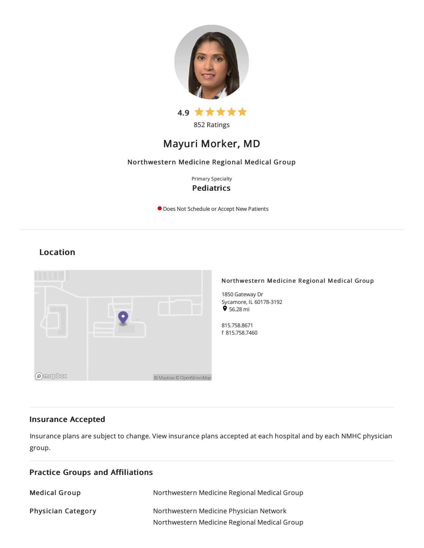



# Mayuri Morker, MD

## Northwestern Medicine Regional Medical Group

Primary Specialty **Pediatrics** 

O Does Not Schedule or Accept New Patients

## Location



## Insurance Accepted

Insurance plans are subject to change. View [insurance](https://www.nm.org/patients-and-visitors/billing-and-insurance/insurance-information/accepted-insurance-plans) plans accepted at each hospital and by each NMHC physician group.

| <b>Practice Groups and Affiliations</b> |                                                                                         |  |
|-----------------------------------------|-----------------------------------------------------------------------------------------|--|
| <b>Medical Group</b>                    | Northwestern Medicine Regional Medical Group                                            |  |
| <b>Physician Category</b>               | Northwestern Medicine Physician Network<br>Northwestern Medicine Regional Medical Group |  |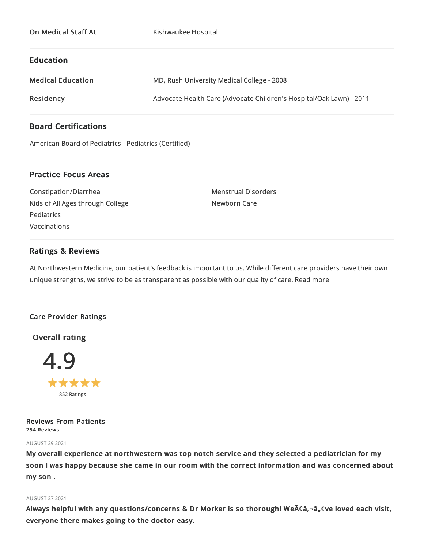|  | <b>On Medical Staff At</b> |  |  |
|--|----------------------------|--|--|
|--|----------------------------|--|--|

Kishwaukee Hospital

## Education

| <b>Medical Education</b> | MD, Rush University Medical College - 2008                          |
|--------------------------|---------------------------------------------------------------------|
| Residency                | Advocate Health Care (Advocate Children's Hospital/Oak Lawn) - 2011 |

## Board Certifications

American Board of Pediatrics - Pediatrics (Certified)

## Practice Focus Areas

Constipation/Diarrhea Kids of All Ages through College **Pediatrics** Vaccinations

Menstrual Disorders Newborn Care

## Ratings & Reviews

At Northwestern Medicine, our patient's feedback is important to us. While different care providers have their own unique strengths, we strive to be as transparent as possible with our quality of care. Read more

## Care Provider Ratings

Overall rating



Reviews From Patients 254 Reviews

### AUGUST 292021

My overall experience at northwestern was top notch service and they selected a pediatrician for my soon I was happy because she came in our room with the correct information and was concerned about my son .

## AUGUST 272021

Always helpful with any questions/concerns & Dr Morker is so thorough! WeA¢â,¬â"¢ve loved each visit, everyone there makes going to the doctor easy.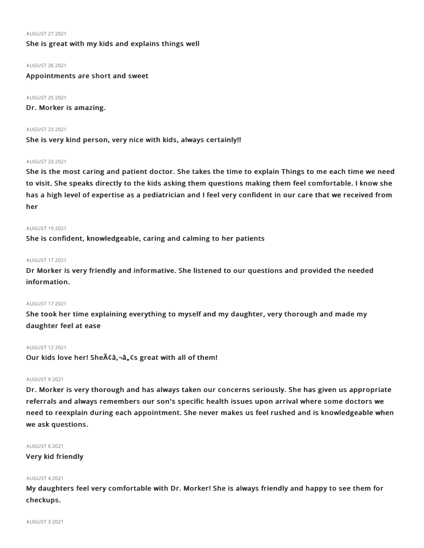### AUGUST 272021

## She is great with my kids and explains things well

#### AUGUST 262021

Appointments are short and sweet

AUGUST 252021 Dr. Morker is amazing.

AUGUST 232021 She is very kind person, very nice with kids, always certainly!!

#### AUGUST 232021

She is the most caring and patient doctor. She takes the time to explain Things to me each time we need to visit. She speaks directly to the kids asking them questions making them feel comfortable. I know she has a high level of expertise as a pediatrician and I feel very confident in our care that we received from her

### AUGUST 192021

She is confident, knowledgeable, caring and calming to her patients

## AUGUST 172021

Dr Morker is very friendly and informative. She listened to our questions and provided the needed information.

## AUGUST 172021

She took her time explaining everything to myself and my daughter, very thorough and made my daughter feel at ease

#### AUGUST 122021

Our kids love her! Sheââ,¬â"¢s great with all of them!

#### AUGUST 92021

Dr. Morker is very thorough and has always taken our concerns seriously. She has given us appropriate referrals and always remembers our son's specific health issues upon arrival where some doctors we need to reexplain during each appointment. She never makes us feel rushed and is knowledgeable when we ask questions.

AUGUST 62021

Very kid friendly

### AUGUST 42021

My daughters feel very comfortable with Dr. Morker! She is always friendly and happy to see them for checkups.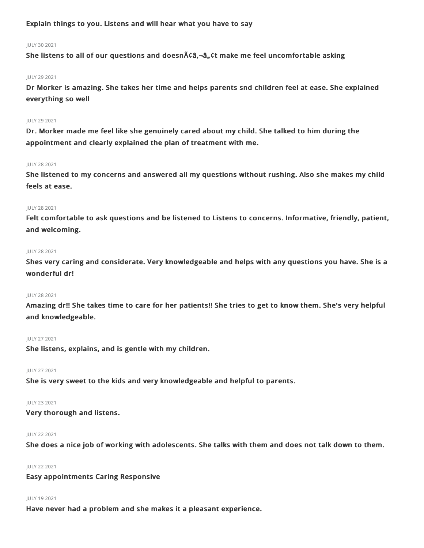## Explain things to you. Listens and will hear what you have to say

## JULY 302021

She listens to all of our questions and doesn $\tilde{A}\zeta\tilde{a}$ ,  $\tilde{a}$ ,  $\zeta$ t make me feel uncomfortable asking

## JULY 292021

Dr Morker is amazing. She takes her time and helps parents snd children feel at ease. She explained everything so well

## JULY 292021

Dr. Morker made me feel like she genuinely cared about my child. She talked to him during the appointment and clearly explained the plan of treatment with me.

## JULY 282021

She listened to my concerns and answered all my questions without rushing. Also she makes my child feels at ease.

## JULY 282021

Felt comfortable to ask questions and be listened to Listens to concerns. Informative, friendly, patient, and welcoming.

## JULY 282021

Shes very caring and considerate. Very knowledgeable and helps with any questions you have. She is a wonderful dr!

## JULY 282021

Amazing dr!! She takes time to care for her patients!! She tries to get to know them. She's very helpful and knowledgeable.

## JULY 272021

She listens, explains, and is gentle with my children.

#### JULY 272021

She is very sweet to the kids and very knowledgeable and helpful to parents.

#### JULY 232021

Very thorough and listens.

### JULY 222021

She does a nice job of working with adolescents. She talks with them and does not talk down to them.

#### JULY 222021

Easy appointments Caring Responsive

#### JULY 192021

Have never had a problem and she makes it a pleasant experience.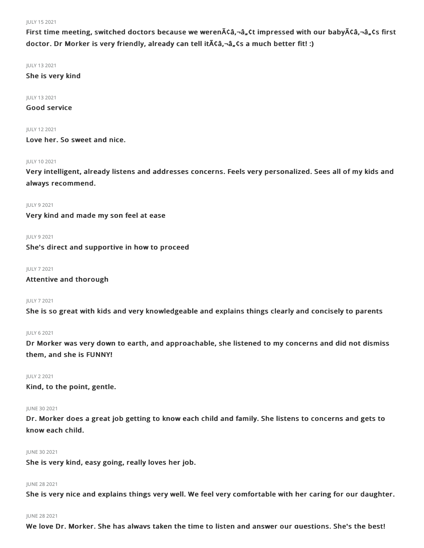## JULY 152021

First time meeting, switched doctors because we weren $\tilde{A}$ câ, $\neg$ â, ct impressed with our baby $\tilde{A}$ câ, $\neg$ â, cs first doctor. Dr Morker is very friendly, already can tell it A câ, - â, cs a much better fit! :)

JULY 132021

She is very kind

JULY 132021

Good service

JULY 122021

Love her. So sweet and nice.

## JULY 102021

Very intelligent, already listens and addresses concerns. Feels very personalized. Sees all of my kids and always recommend.

JULY 92021

Very kind and made my son feel at ease

JULY 92021

She's direct and supportive in how to proceed

JULY 72021

Attentive and thorough

JULY 72021

She is so great with kids and very knowledgeable and explains things clearly and concisely to parents

JULY 62021

Dr Morker was very down to earth, and approachable, she listened to my concerns and did not dismiss them, and she is FUNNY!

JULY 22021

Kind, to the point, gentle.

JUNE 302021

Dr. Morker does a great job getting to know each child and family. She listens to concerns and gets to know each child.

## JUNE 30 2021

She is very kind, easy going, really loves her job.

## JUNE 282021

She is very nice and explains things very well. We feel very comfortable with her caring for our daughter.

## JUNE 282021

We love Dr. Morker. She has always taken the time to listen and answer our questions. She's the best!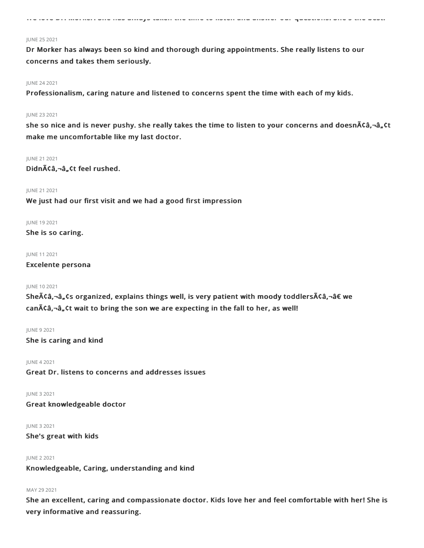We love Dr. Morker. She has always taken the time to listen and answer our questions. She's the best!

#### JUNE 252021

Dr Morker has always been so kind and thorough during appointments. She really listens to our concerns and takes them seriously.

#### JUNE 242021

Professionalism, caring nature and listened to concerns spent the time with each of my kids.

#### JUNE 232021

she so nice and is never pushy. she really takes the time to listen to your concerns and doesn $\tilde{A}$ ca,-â,ct make me uncomfortable like my last doctor.

#### JUNE 21 2021

Didnââ,¬â"¢t feel rushed.

## JUNE 212021

We just had our first visit and we had a good first impression

#### JUNE 192021

She is so caring.

JUNE 112021

## Excelente persona

#### JUNE 102021

She $\tilde{A}$ Câ,¬â, Cs organized, explains things well, is very patient with moody toddlers $\tilde{A}$ Câ,¬â $\epsilon$  we can $\tilde{\Lambda}$ câ, $\tilde{\Lambda}$ ; Ct wait to bring the son we are expecting in the fall to her, as well!

#### JUNE 92021

She is caring and kind

JUNE 42021 Great Dr. listens to concerns and addresses issues

JUNE 32021

Great knowledgeable doctor

JUNE 32021

She's great with kids

## JUNE 22021 Knowledgeable, Caring, understanding and kind

## MAY 29 2021

She an excellent, caring and compassionate doctor. Kids love her and feel comfortable with her! She is very informative and reassuring.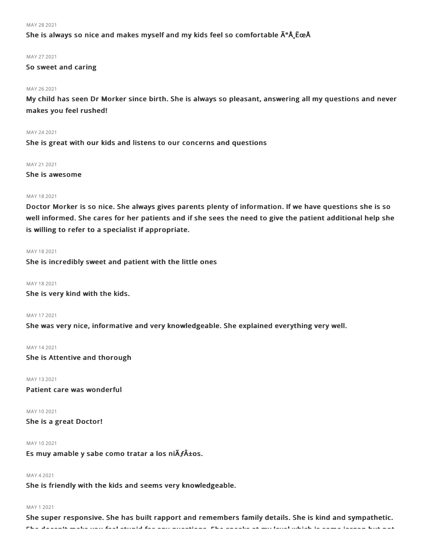#### MAY 28 2021

## She is always so nice and makes myself and my kids feel so comfortable  $\tilde{A}^{\circ}$ Å EceÅ

#### MAY 272021

## So sweet and caring

#### MAY 26 2021

My child has seen Dr Morker since birth. She is always so pleasant, answering all my questions and never makes you feel rushed!

#### MAY 242021

She is great with our kids and listens to our concerns and questions

#### MAY 21 2021

She is awesome

#### MAY 18 2021

Doctor Morker is so nice. She always gives parents plenty of information. If we have questions she is so well informed. She cares for her patients and if she sees the need to give the patient additional help she is willing to refer to a specialist if appropriate.

## MAY 182021

She is incredibly sweet and patient with the little ones

## MAY 182021

She is very kind with the kids.

#### MAY 172021

She was very nice, informative and very knowledgeable. She explained everything very well.

#### MAY 142021

She is Attentive and thorough

## MAY 132021

Patient care was wonderful

MAY 102021 She is a great Doctor!

### MAY 102021

Es muy amable y sabe como tratar a los niÃ**ƒ**±os.

## MAY 42021

She is friendly with the kids and seems very knowledgeable.

#### MAY 12021

She super responsive. She has built rapport and remembers family details. She is kind and sympathetic. She doesn't make you feel stupid for any questions. She speaks at my level which is some jargon but not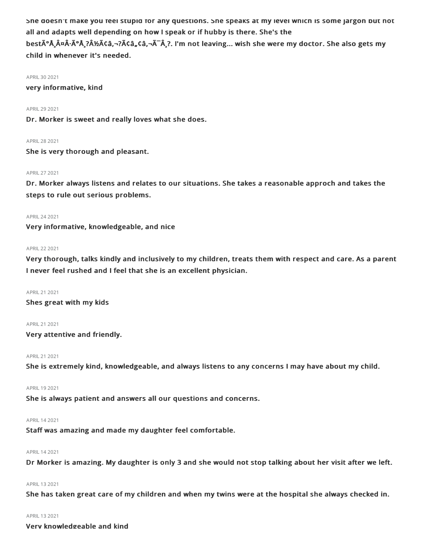She doesn't make you feel stupid for any questions. She speaks at my level which is some jargon but not all and adapts well depending on how I speak or if hubby is there. She's the

best $\tilde{A}^{\circ}$ Å $\tilde{A}^{\circ}$ Å $\tilde{A}^{\circ}$ Å $\tilde{A}^{\circ}$  $\tilde{A}$  $\tilde{A}^{\circ}$  $\tilde{A}$  $\tilde{A}^{\circ}$  $\tilde{A}$  $\tilde{A}^{\circ}$  $\tilde{A}$  $\tilde{A}^{\circ}$  $\tilde{A}$  $\tilde{A}^{\circ}$  $\tilde{A}$  $\tilde{A}$  $\tilde{A}$  $\tilde{A}^{\circ}$  $\tilde{A}$  $\tilde{A}^{\circ}$  $\tilde{A}$  $\$ child in whenever it's needed.

### APRIL 30 2021

very informative, kind

#### APRIL292021

Dr. Morker is sweet and really loves what she does.

#### APRIL282021

She is very thorough and pleasant.

#### APRIL272021

Dr. Morker always listens and relates to our situations. She takes a reasonable approch and takes the steps to rule out serious problems.

## APRIL242021

Very informative, knowledgeable, and nice

#### APRIL222021

Very thorough, talks kindly and inclusively to my children, treats them with respect and care. As a parent I never feel rushed and I feel that she is an excellent physician.

APRIL212021

Shes great with my kids

APRIL212021

Very attentive and friendly.

APRIL212021

She is extremely kind, knowledgeable, and always listens to any concerns I may have about my child.

#### APRIL 19 2021

She is always patient and answers all our questions and concerns.

#### APRIL142021

Staff was amazing and made my daughter feel comfortable.

## APRIL142021

Dr Morker is amazing. My daughter is only 3 and she would not stop talking about her visit after we left.

#### APRIL 13 2021

She has taken great care of my children and when my twins were at the hospital she always checked in.

#### APRIL132021

Very knowledgeable and kind